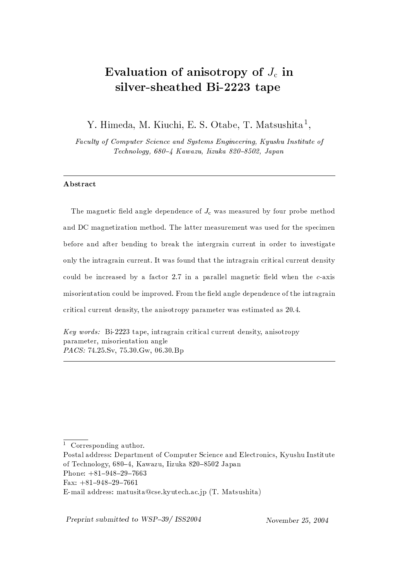# Evaluation of anisotropy of  $J_c$  in silver-sheathed Bi-2223 tape

Y. Himeda, M. Kiuchi, E. S. Otabe, T. Matsushita<sup>1</sup>,

Faculty of Computer Science and Systems Engineering, Kyushu Institute of Technology, 680-4 Kawazu, Iizuka 820-8502, Japan

## Abstract

The magnetic field angle dependence of  $J_c$  was measured by four probe method and DC magnetization method. The latter measurement was used for the specimen before and after bending to break the intergrain current in order to investigate only the intragrain current. It was found that the intragrain critical current density could be increased by a factor 2.7 in a parallel magnetic field when the c-axis misorientation could be improved. From the field angle dependence of the intragrain critical current density, the anisotropy parameter was estimated as 20.4.

Key words: Bi-2223 tape, intragrain critical current density, anisotropy parameter, misorientation angle PACS: 74.25.Sv, 75.30.Gw, 06.30.Bp

Preprint submitted to WSP-39/ ISS2004

<sup>&</sup>lt;sup>1</sup> Corresponding author.

Postal address: Department of Computer Science and Electronics, Kyushu Institute of Technology, 680–4. Kawazu, Iizuka 820–8502 Japan

Phone:  $+81-948-29-7663$ 

Fax:  $+81-948-29-7661$ 

E-mail address: matusita@cse.kyutech.ac.jp (T. Matsushita)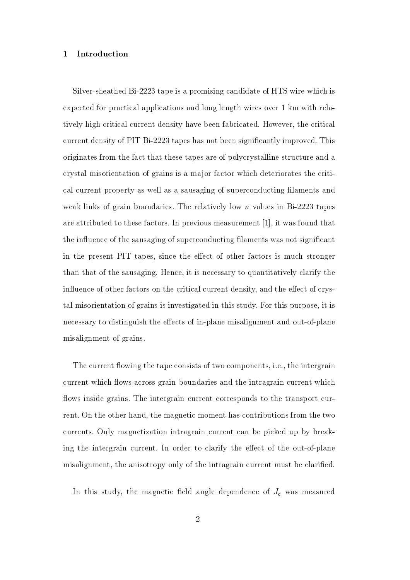#### Introduction  $\mathbf{1}$

Silver-sheathed Bi-2223 tape is a promising candidate of HTS wire which is expected for practical applications and long length wires over 1 km with relatively high critical current density have been fabricated. However, the critical current density of PIT Bi-2223 tapes has not been significantly improved. This originates from the fact that these tapes are of polycrystalline structure and a crystal misorientation of grains is a major factor which deteriorates the critical current property as well as a sausaging of superconducting filaments and weak links of grain boundaries. The relatively low  $n$  values in Bi-2223 tapes are attributed to these factors. In previous measurement [1], it was found that the influence of the sausaging of superconducting filaments was not significant in the present PIT tapes, since the effect of other factors is much stronger than that of the sausaging. Hence, it is necessary to quantitatively clarify the influence of other factors on the critical current density, and the effect of crystal misorientation of grains is investigated in this study. For this purpose, it is necessary to distinguish the effects of in-plane misalignment and out-of-plane misalignment of grains.

The current flowing the tape consists of two components, i.e., the intergrain current which flows across grain boundaries and the intragrain current which flows inside grains. The intergrain current corresponds to the transport current. On the other hand, the magnetic moment has contributions from the two currents. Only magnetization intragrain current can be picked up by breaking the intergrain current. In order to clarify the effect of the out-of-plane misalignment, the anisotropy only of the intragrain current must be clarified.

In this study, the magnetic field angle dependence of  $J_c$  was measured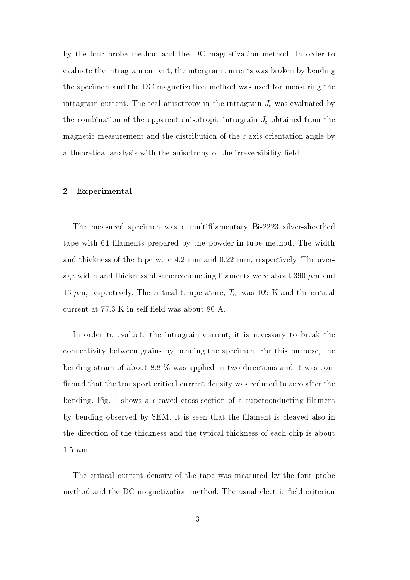by the four probe method and the DC magnetization method. In order to evaluate the intragrain current, the intergrain currents was broken by bending the specimen and the DC magnetization method was used for measuring the intragrain current. The real anisotropy in the intragrain  $J_c$  was evaluated by the combination of the apparent anisotropic intragrain  $J_c$  obtained from the magnetic measurement and the distribution of the c-axis orientation angle by a theoretical analysis with the anisotropy of the irreversibility field.

#### $\boldsymbol{2}$ Experimental

The measured specimen was a multifilamentary Bi-2223 silver-sheathed tape with 61 filaments prepared by the powder-in-tube method. The width and thickness of the tape were 4.2 mm and 0.22 mm, respectively. The average width and thickness of superconducting filaments were about 390  $\mu$ m and 13  $\mu$ m, respectively. The critical temperature,  $T_c$ , was 109 K and the critical current at 77.3 K in self field was about 80 A.

In order to evaluate the intragrain current, it is necessary to break the connectivity between grains by bending the specimen. For this purpose, the bending strain of about 8.8  $\%$  was applied in two directions and it was confirmed that the transport critical current density was reduced to zero after the bending. Fig. 1 shows a cleaved cross-section of a superconducting filament by bending observed by SEM. It is seen that the filament is cleaved also in the direction of the thickness and the typical thickness of each chip is about  $1.5 \mu m$ .

The critical current density of the tape was measured by the four probe method and the DC magnetization method. The usual electric field criterion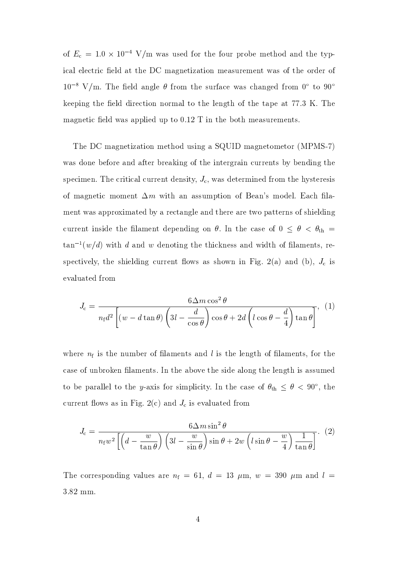of  $E_c = 1.0 \times 10^{-4}$  V/m was used for the four probe method and the typical electric field at the DC magnetization measurement was of the order of  $10^{-8}$  V/m. The field angle  $\theta$  from the surface was changed from 0° to 90° keeping the field direction normal to the length of the tape at 77.3 K. The magnetic field was applied up to  $0.12$  T in the both measurements.

The DC magnetization method using a SQUID magnetometor (MPMS-7) was done before and after breaking of the intergrain currents by bending the specimen. The critical current density,  $J_c$ , was determined from the hysteresis of magnetic moment  $\Delta m$  with an assumption of Bean's model. Each filament was approximated by a rectangle and there are two patterns of shielding current inside the filament depending on  $\theta$ . In the case of  $0 \le \theta \le \theta_{\text{th}} =$  $\tan^{-1}(w/d)$  with d and w denoting the thickness and width of filaments, respectively, the shielding current flows as shown in Fig. 2(a) and (b),  $J_c$  is evaluated from

$$
J_{\rm c} = \frac{6\Delta m \cos^2 \theta}{n_{\rm f} d^2 \left[ (w - d \tan \theta) \left( 3l - \frac{d}{\cos \theta} \right) \cos \theta + 2d \left( l \cos \theta - \frac{d}{4} \right) \tan \theta \right]}, (1)
$$

where  $n_f$  is the number of filaments and l is the length of filaments, for the case of unbroken filaments. In the above the side along the length is assumed to be parallel to the y-axis for simplicity. In the case of  $\theta_{th} \leq \theta < 90^{\circ}$ , the current flows as in Fig. 2(c) and  $J_c$  is evaluated from

$$
J_{\rm c} = \frac{6\Delta m \sin^2\theta}{n_{\rm f}w^2 \left[ \left( d - \frac{w}{\tan\theta} \right) \left( 3l - \frac{w}{\sin\theta} \right) \sin\theta + 2w \left( l\sin\theta - \frac{w}{4} \right) \frac{1}{\tan\theta} \right]}.
$$
 (2)

The corresponding values are  $n_f = 61$ ,  $d = 13 \mu \text{m}$ ,  $w = 390 \mu \text{m}$  and  $l =$ 3.82 mm.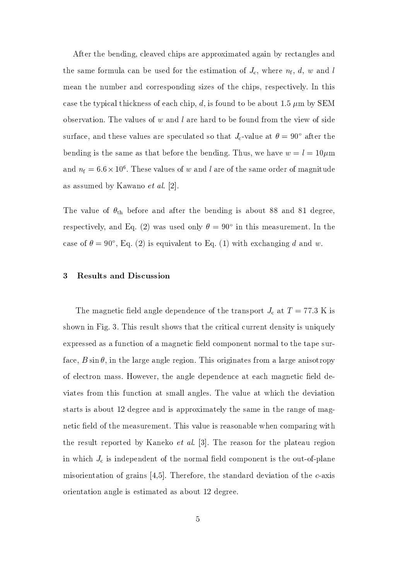After the bending, cleaved chips are approximated again by rectangles and the same formula can be used for the estimation of  $J_c$ , where  $n_f$ , d, w and l mean the number and corresponding sizes of the chips, respectively. In this case the typical thickness of each chip, d, is found to be about 1.5  $\mu$ m by SEM observation. The values of  $w$  and  $l$  are hard to be found from the view of side surface, and these values are speculated so that  $J_c$ -value at  $\theta = 90^{\circ}$  after the bending is the same as that before the bending. Thus, we have  $w = l = 10 \mu m$ and  $n_f = 6.6 \times 10^6$ . These values of w and l are of the same order of magnitude as assumed by Kawano et al. [2].

The value of  $\theta_{\rm th}$  before and after the bending is about 88 and 81 degree, respectively, and Eq. (2) was used only  $\theta = 90^{\circ}$  in this measurement. In the case of  $\theta = 90^{\circ}$ , Eq. (2) is equivalent to Eq. (1) with exchanging d and w.

#### 3 **Results and Discussion**

The magnetic field angle dependence of the transport  $J_c$  at  $T = 77.3$  K is shown in Fig. 3. This result shows that the critical current density is uniquely expressed as a function of a magnetic field component normal to the tape surface,  $B \sin \theta$ , in the large angle region. This originates from a large anisotropy of electron mass. However, the angle dependence at each magnetic field deviates from this function at small angles. The value at which the deviation starts is about 12 degree and is approximately the same in the range of magnetic field of the measurement. This value is reasonable when comparing with the result reported by Kaneko *et al.* [3]. The reason for the plateau region in which  $J_c$  is independent of the normal field component is the out-of-plane misorientation of grains [4,5]. Therefore, the standard deviation of the  $c$ -axis orientation angle is estimated as about 12 degree.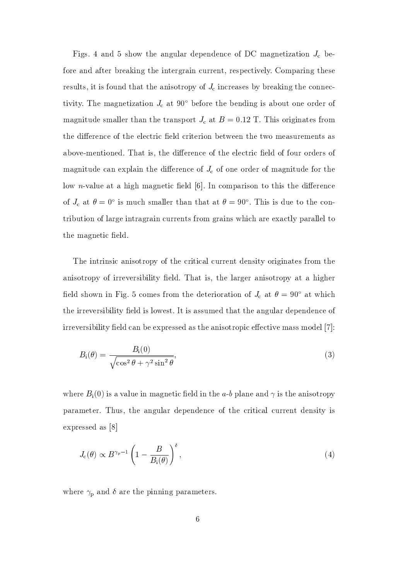Figs. 4 and 5 show the angular dependence of DC magnetization  $J_c$  before and after breaking the intergrain current, respectively. Comparing these results, it is found that the anisotropy of  $J_c$  increases by breaking the connectivity. The magnetization  $J_c$  at 90 $\degree$  before the bending is about one order of magnitude smaller than the transport  $J_c$  at  $B = 0.12$  T. This originates from the difference of the electric field criterion between the two measurements as above-mentioned. That is, the difference of the electric field of four orders of magnitude can explain the difference of  $J_c$  of one order of magnitude for the low *n*-value at a high magnetic field  $[6]$ . In comparison to this the difference of  $J_c$  at  $\theta = 0^{\circ}$  is much smaller than that at  $\theta = 90^{\circ}$ . This is due to the contribution of large intragrain currents from grains which are exactly parallel to the magnetic field.

The intrinsic anisotropy of the critical current density originates from the anisotropy of irreversibility field. That is, the larger anisotropy at a higher field shown in Fig. 5 comes from the deterioration of  $J_c$  at  $\theta = 90^{\circ}$  at which the irreversibility field is lowest. It is assumed that the angular dependence of irreversibility field can be expressed as the anisotropic effective mass model [7]:

$$
B_{\rm i}(\theta) = \frac{B_{\rm i}(0)}{\sqrt{\cos^2\theta + \gamma^2\sin^2\theta}},\tag{3}
$$

where  $B_i(0)$  is a value in magnetic field in the a-b plane and  $\gamma$  is the anisotropy parameter. Thus, the angular dependence of the critical current density is expressed as [8]

$$
J_{\rm c}(\theta) \propto B^{\gamma_{\rm p}-1} \left(1 - \frac{B}{B_{\rm i}(\theta)}\right)^{\delta},\tag{4}
$$

where  $\gamma_{\rm p}$  and  $\delta$  are the pinning parameters.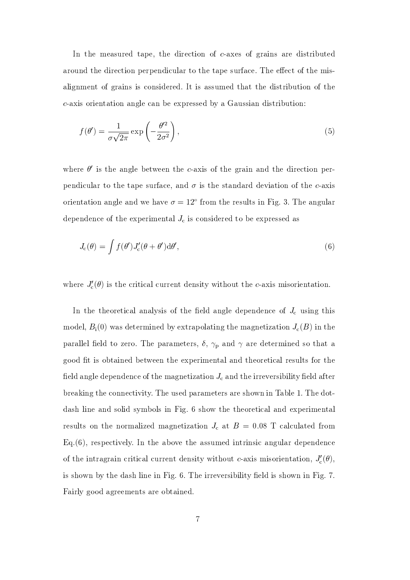In the measured tape, the direction of  $c$ -axes of grains are distributed around the direction perpendicular to the tape surface. The effect of the misalignment of grains is considered. It is assumed that the distribution of the c-axis orientation angle can be expressed by a Gaussian distribution:

$$
f(\theta') = \frac{1}{\sigma\sqrt{2\pi}} \exp\left(-\frac{\theta'^2}{2\sigma^2}\right),\tag{5}
$$

where  $\theta'$  is the angle between the c-axis of the grain and the direction perpendicular to the tape surface, and  $\sigma$  is the standard deviation of the c-axis orientation angle and we have  $\sigma = 12^{\circ}$  from the results in Fig. 3. The angular dependence of the experimental  $J_c$  is considered to be expressed as

$$
J_{\rm c}(\theta) = \int f(\theta') J'_{\rm c}(\theta + \theta') d\theta',\tag{6}
$$

where  $J_c'(\theta)$  is the critical current density without the c-axis misorientation.

In the theoretical analysis of the field angle dependence of  $J_c$  using this model,  $B_i(0)$  was determined by extrapolating the magnetization  $J_c(B)$  in the parallel field to zero. The parameters,  $\delta$ ,  $\gamma_p$  and  $\gamma$  are determined so that a good fit is obtained between the experimental and theoretical results for the field angle dependence of the magnetization  $J_c$  and the irreversibility field after breaking the connectivity. The used parameters are shown in Table 1. The dotdash line and solid symbols in Fig. 6 show the theoretical and experimental results on the normalized magnetization  $J_c$  at  $B = 0.08$  T calculated from  $Eq.(6)$ , respectively. In the above the assumed intrinsic angular dependence of the intragrain critical current density without c-axis misorientation,  $J'_{c}(\theta)$ , is shown by the dash line in Fig. 6. The irreversibility field is shown in Fig. 7. Fairly good agreements are obtained.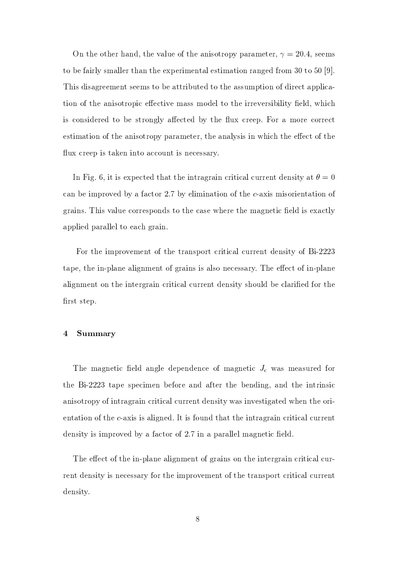On the other hand, the value of the anisotropy parameter,  $\gamma = 20.4$ , seems to be fairly smaller than the experimental estimation ranged from 30 to 50  $[9]$ . This disagreement seems to be attributed to the assumption of direct application of the anisotropic effective mass model to the irreversibility field, which is considered to be strongly affected by the flux creep. For a more correct estimation of the anisotropy parameter, the analysis in which the effect of the flux creep is taken into account is necessary.

In Fig. 6, it is expected that the intragrain critical current density at  $\theta = 0$ can be improved by a factor 2.7 by elimination of the c-axis misorientation of grains. This value corresponds to the case where the magnetic field is exactly applied parallel to each grain.

For the improvement of the transport critical current density of Bi-2223 tape, the in-plane alignment of grains is also necessary. The effect of in-plane alignment on the intergrain critical current density should be clarified for the first step.

#### $\overline{4}$ Summary

The magnetic field angle dependence of magnetic  $J_{\rm c}$  was measured for the Bi-2223 tape specimen before and after the bending, and the intrinsic anisotropy of intragrain critical current density was investigated when the orientation of the c-axis is aligned. It is found that the intragrain critical current density is improved by a factor of 2.7 in a parallel magnetic field.

The effect of the in-plane alignment of grains on the intergrain critical current density is necessary for the improvement of the transport critical current density.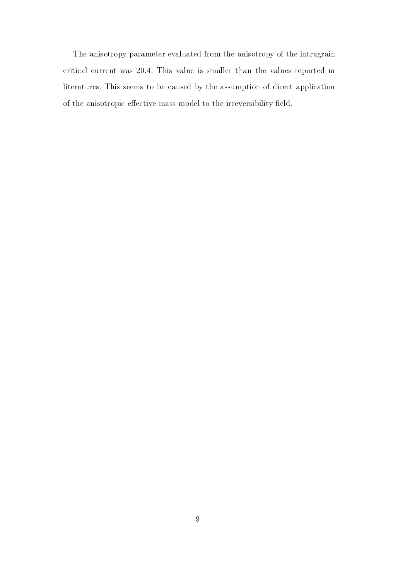The anisotropy parameter evaluated from the anisotropy of the intragrain critical current was 20.4. This value is smaller than the values reported in literatures. This seems to be caused by the assumption of direct application of the anisotropic effective mass model to the irreversibility field.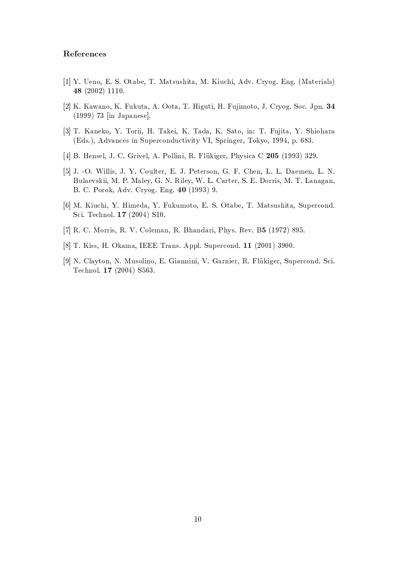### References

- [1] Y. Ueno, E. S. Otabe, T. Matsushita, M. Kiuchi, Adv. Cryog. Eng. (Materials) 48 $(2002)$  1110.
- [2] K. Kawano, K. Fukuta, A. Oota, T. Higuti, H. Fujimoto, J. Cryog. Soc. Jpn. 34  $(1999)$  73 [in Japanese].
- [3] T. Kaneko, Y. Torii, H. Takei, K. Tada, K. Sato, in: T. Fujita, Y. Shiohara (Eds.), Advances in Superconductivity VI, Springer, Tokyo, 1994, p. 683.
- [4] B. Hensel, J. C. Grivel, A. Pollini, R. Flükiger, Physica C 205 (1993) 329.
- [5] J. -O. Willis, J. Y. Coulter, E. J. Peterson, G. F. Chen, L. L. Daemen, L. N. Bulaevskii, M. P. Maley, G. N. Riley, W. L. Carter, S. E. Dorris, M. T. Lanagan, B. C. Porok, Adv. Cryog. Eng. 40 (1993) 9.
- [6] M. Kiuchi, Y. Himeda, Y. Fukumoto, E. S. Otabe, T. Matsushita, Supercond. Sci. Technol. 17 (2004) S10.
- [7] R. C. Morris, R. V. Coleman, R. Bhandari, Phys. Rev. B5 (1972) 895.
- [8] T. Kiss, H. Okama, IEEE Trans. Appl. Supercond. 11 (2001) 3900.
- [9] N. Clayton, N. Musolino, E. Giannini, V. Garnier, R. Flükiger, Supercond. Sci. Technol. 17 (2004) S563.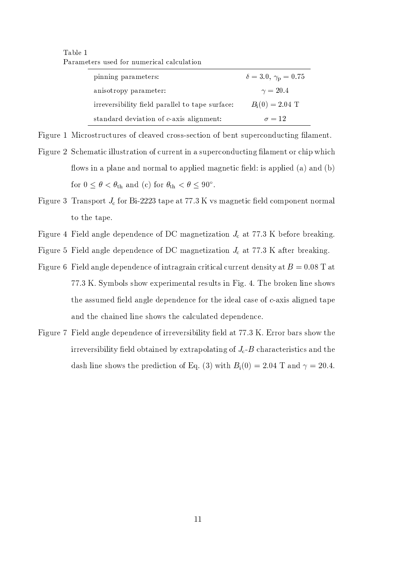Table 1 Parameters used for numerical calculation

| pinning parameters:                             | $\delta = 3.0, \gamma_{\rm p} = 0.75$ |
|-------------------------------------------------|---------------------------------------|
| anisotropy parameter:                           | $\gamma = 20.4$                       |
| irreversibility field parallel to tape surface: | $B_i(0) = 2.04$ T                     |
| standard deviation of c-axis alignment:         | $\sigma = 12$                         |

Figure 1 Microstructures of cleaved cross-section of bent superconducting filament.

- Figure 2 Schematic illustration of current in a superconducting filament or chip which flows in a plane and normal to applied magnetic field: is applied (a) and (b) for  $0 \le \theta < \theta_{\text{th}}$  and (c) for  $\theta_{\text{th}} < \theta \le 90^{\circ}$ .
- Figure 3 Transport  $J_c$  for Bi-2223 tape at 77.3 K vs magnetic field component normal to the tape.
- Figure 4 Field angle dependence of DC magnetization  $J_c$  at 77.3 K before breaking.
- Figure 5 Field angle dependence of DC magnetization  $J_c$  at 77.3 K after breaking.
- Figure 6 Field angle dependence of intragrain critical current density at  $B = 0.08$  T at 77.3 K. Symbols show experimental results in Fig. 4. The broken line shows the assumed field angle dependence for the ideal case of  $c$ -axis aligned tape and the chained line shows the calculated dependence.
- Figure 7 Field angle dependence of irreversibility field at 77.3 K. Error bars show the irreversibility field obtained by extrapolating of  $J_c$ -B characteristics and the dash line shows the prediction of Eq. (3) with  $B_i(0) = 2.04$  T and  $\gamma = 20.4$ .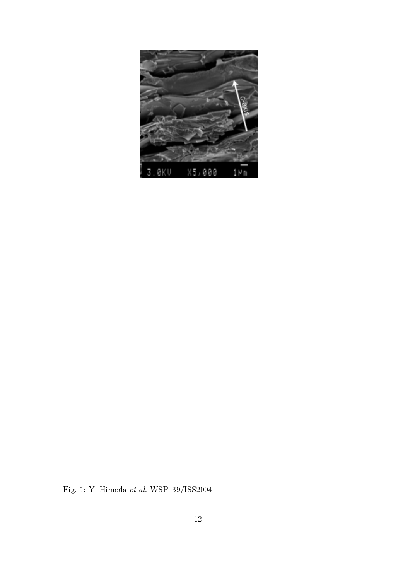

Fig. 1: Y. Himeda $\it{et~al.}$  WSP–39/ISS2004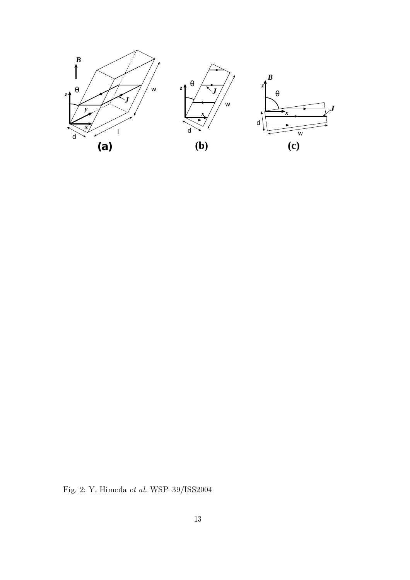

Fig. 2: Y. Himeda $\it{et~al.}$  WSP–39/ISS2004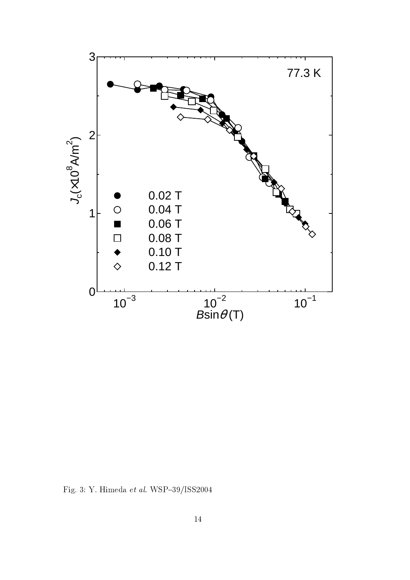

Fig. 3: Y. Himeda et al. WSP-39/ISS2004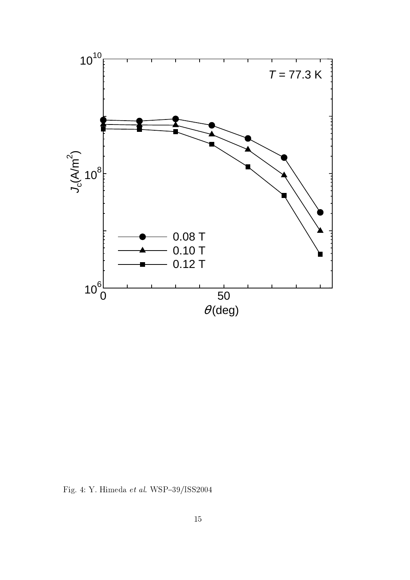

Fig. 4: Y. Himeda $et$   $al.$  WSP–39/ISS2004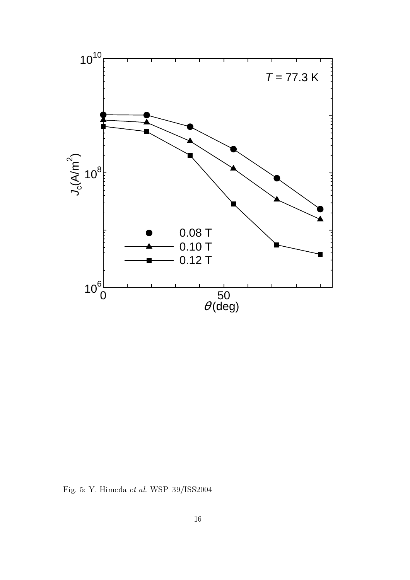

Fig. 5: Y. Himeda $et$   $al.$  WSP–39/ISS2004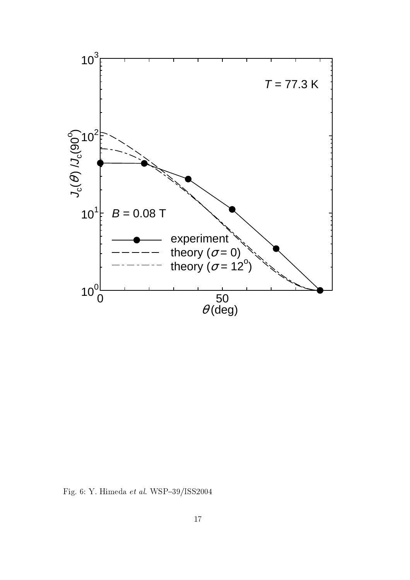

Fig. 6: Y. Himeda *et al*. WSP–39/ISS2004